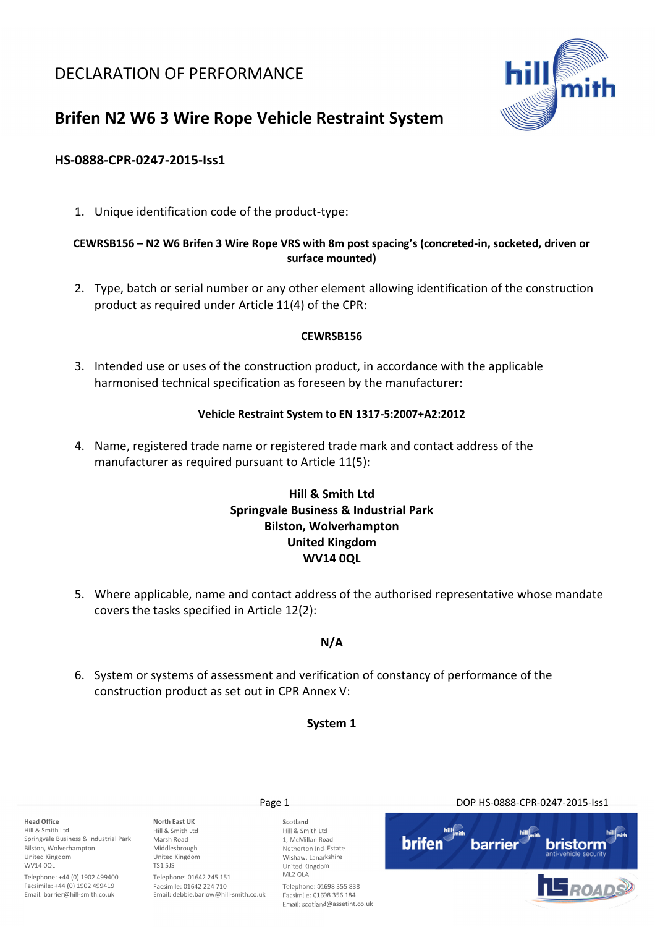## DECLARATION OF PERFORMANCE



# Brifen N2 W6 3 Wire Rope Vehicle Restraint System

## HS-0888-CPR-0247-2015-Iss1

1. Unique identification code of the product-type:

## CEWRSB156 – N2 W6 Brifen 3 Wire Rope VRS with 8m post spacing's (concreted-in, socketed, driven or surface mounted)

2. Type, batch or serial number or any other element allowing identification of the construction product as required under Article 11(4) of the CPR:

## CEWRSB156

3. Intended use or uses of the construction product, in accordance with the applicable harmonised technical specification as foreseen by the manufacturer:

#### Vehicle Restraint System to EN 1317-5:2007+A2:2012

4. Name, registered trade name or registered trade mark and contact address of the manufacturer as required pursuant to Article 11(5):

## Hill & Smith Ltd Springvale Business & Industrial Park Bilston, Wolverhampton United Kingdom WV14 0QL

5. Where applicable, name and contact address of the authorised representative whose mandate covers the tasks specified in Article 12(2):

## N/A

6. System or systems of assessment and verification of constancy of performance of the construction product as set out in CPR Annex V:

## System 1

Head Office Hill & Smith Ltd Springvale Business & Industrial Park Bilston, Wolverhampton United Kingdom WV14 00L

Telephone: +44 (0) 1902 499400 Facsimile: +44 (0) 1902 499419 Email: barrier@hill-smith.co.uk

North East UK Hill & Smith Ltd Marsh Road Middlesbrough United Kingdom TS1 5JS Telephone: 01642 245 151

Facsimile: 01642 224 710 Email: debbie.barlow@hill-smith.co.uk

Scotland Hill & Smith Ltd 1, McMillan Road Netherton Ind. Estate Wishaw, Lanarkshire

United Kingdom

ML2 OLA Telephone: 01698 355 838 Facsimile: 01698 356 184 Email: scotland@assetint.co.uk

Page 1 DOP HS-0888-CPR-0247-2015-Iss1